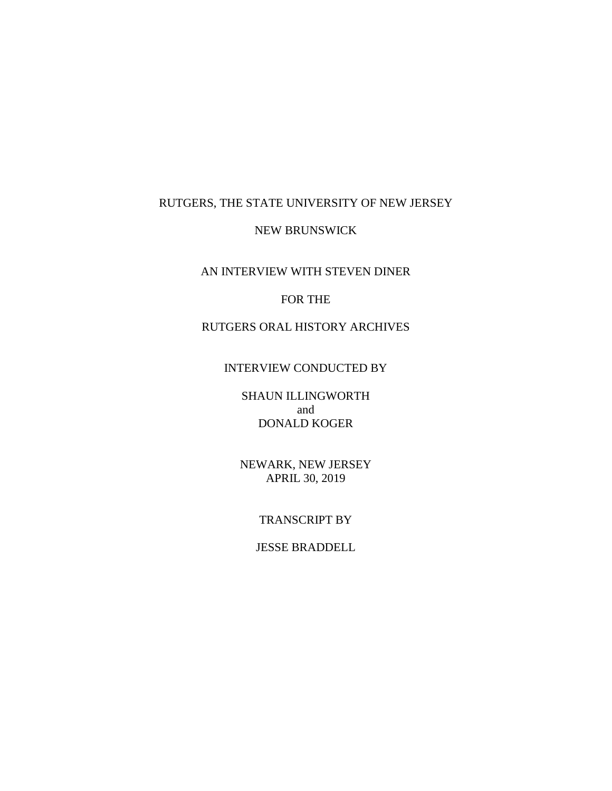# RUTGERS, THE STATE UNIVERSITY OF NEW JERSEY

## NEW BRUNSWICK

AN INTERVIEW WITH STEVEN DINER

# FOR THE

# RUTGERS ORAL HISTORY ARCHIVES

## INTERVIEW CONDUCTED BY

SHAUN ILLINGWORTH and DONALD KOGER

NEWARK, NEW JERSEY APRIL 30, 2019

## TRANSCRIPT BY

# JESSE BRADDELL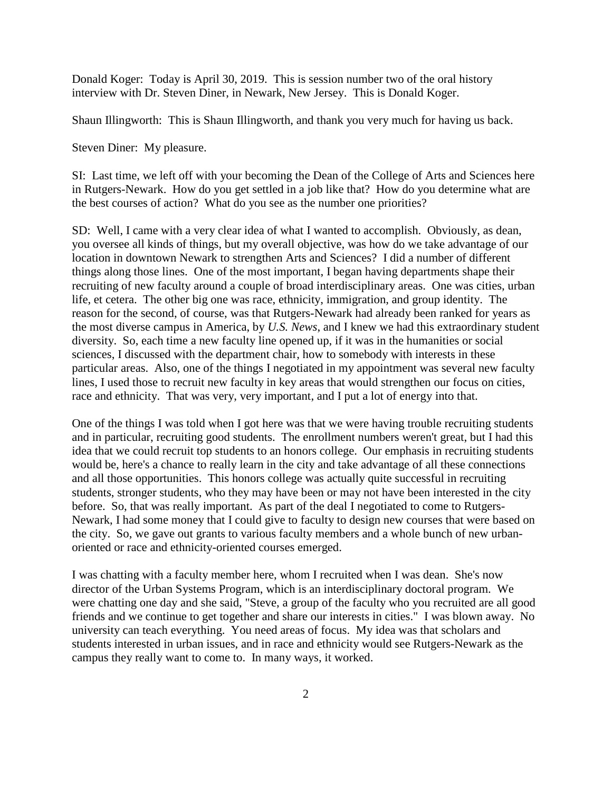Donald Koger: Today is April 30, 2019. This is session number two of the oral history interview with Dr. Steven Diner, in Newark, New Jersey. This is Donald Koger.

Shaun Illingworth: This is Shaun Illingworth, and thank you very much for having us back.

Steven Diner: My pleasure.

SI: Last time, we left off with your becoming the Dean of the College of Arts and Sciences here in Rutgers-Newark. How do you get settled in a job like that? How do you determine what are the best courses of action? What do you see as the number one priorities?

SD: Well, I came with a very clear idea of what I wanted to accomplish. Obviously, as dean, you oversee all kinds of things, but my overall objective, was how do we take advantage of our location in downtown Newark to strengthen Arts and Sciences? I did a number of different things along those lines. One of the most important, I began having departments shape their recruiting of new faculty around a couple of broad interdisciplinary areas. One was cities, urban life, et cetera. The other big one was race, ethnicity, immigration, and group identity. The reason for the second, of course, was that Rutgers-Newark had already been ranked for years as the most diverse campus in America, by *U.S. News*, and I knew we had this extraordinary student diversity. So, each time a new faculty line opened up, if it was in the humanities or social sciences, I discussed with the department chair, how to somebody with interests in these particular areas. Also, one of the things I negotiated in my appointment was several new faculty lines, I used those to recruit new faculty in key areas that would strengthen our focus on cities, race and ethnicity. That was very, very important, and I put a lot of energy into that.

One of the things I was told when I got here was that we were having trouble recruiting students and in particular, recruiting good students. The enrollment numbers weren't great, but I had this idea that we could recruit top students to an honors college. Our emphasis in recruiting students would be, here's a chance to really learn in the city and take advantage of all these connections and all those opportunities. This honors college was actually quite successful in recruiting students, stronger students, who they may have been or may not have been interested in the city before. So, that was really important. As part of the deal I negotiated to come to Rutgers-Newark, I had some money that I could give to faculty to design new courses that were based on the city. So, we gave out grants to various faculty members and a whole bunch of new urbanoriented or race and ethnicity-oriented courses emerged.

I was chatting with a faculty member here, whom I recruited when I was dean. She's now director of the Urban Systems Program, which is an interdisciplinary doctoral program. We were chatting one day and she said, "Steve, a group of the faculty who you recruited are all good friends and we continue to get together and share our interests in cities." I was blown away. No university can teach everything. You need areas of focus. My idea was that scholars and students interested in urban issues, and in race and ethnicity would see Rutgers-Newark as the campus they really want to come to. In many ways, it worked.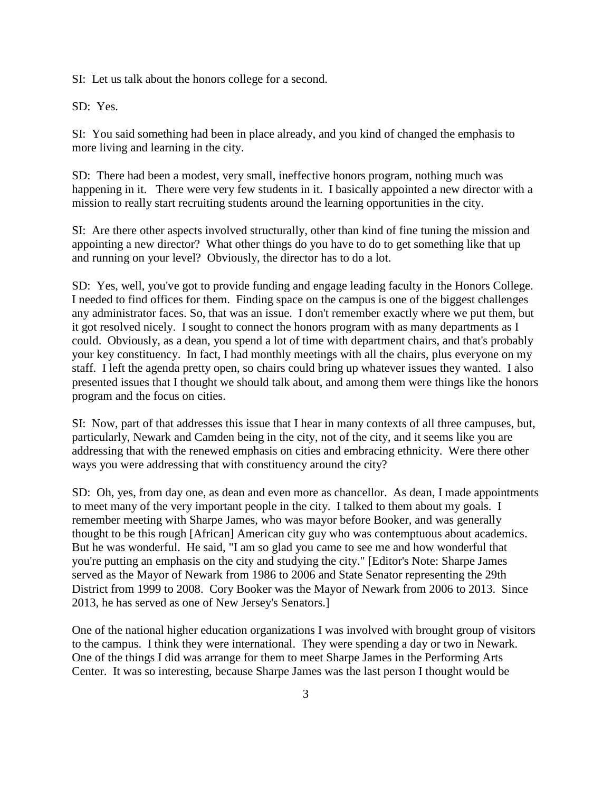SI: Let us talk about the honors college for a second.

SD: Yes.

SI: You said something had been in place already, and you kind of changed the emphasis to more living and learning in the city.

SD: There had been a modest, very small, ineffective honors program, nothing much was happening in it. There were very few students in it. I basically appointed a new director with a mission to really start recruiting students around the learning opportunities in the city.

SI: Are there other aspects involved structurally, other than kind of fine tuning the mission and appointing a new director? What other things do you have to do to get something like that up and running on your level? Obviously, the director has to do a lot.

SD: Yes, well, you've got to provide funding and engage leading faculty in the Honors College. I needed to find offices for them. Finding space on the campus is one of the biggest challenges any administrator faces. So, that was an issue. I don't remember exactly where we put them, but it got resolved nicely. I sought to connect the honors program with as many departments as I could. Obviously, as a dean, you spend a lot of time with department chairs, and that's probably your key constituency. In fact, I had monthly meetings with all the chairs, plus everyone on my staff. I left the agenda pretty open, so chairs could bring up whatever issues they wanted. I also presented issues that I thought we should talk about, and among them were things like the honors program and the focus on cities.

SI: Now, part of that addresses this issue that I hear in many contexts of all three campuses, but, particularly, Newark and Camden being in the city, not of the city, and it seems like you are addressing that with the renewed emphasis on cities and embracing ethnicity. Were there other ways you were addressing that with constituency around the city?

SD: Oh, yes, from day one, as dean and even more as chancellor. As dean, I made appointments to meet many of the very important people in the city. I talked to them about my goals. I remember meeting with Sharpe James, who was mayor before Booker, and was generally thought to be this rough [African] American city guy who was contemptuous about academics. But he was wonderful. He said, "I am so glad you came to see me and how wonderful that you're putting an emphasis on the city and studying the city." [Editor's Note: Sharpe James served as the Mayor of Newark from 1986 to 2006 and State Senator representing the 29th District from 1999 to 2008. Cory Booker was the Mayor of Newark from 2006 to 2013. Since 2013, he has served as one of New Jersey's Senators.]

One of the national higher education organizations I was involved with brought group of visitors to the campus. I think they were international. They were spending a day or two in Newark. One of the things I did was arrange for them to meet Sharpe James in the Performing Arts Center. It was so interesting, because Sharpe James was the last person I thought would be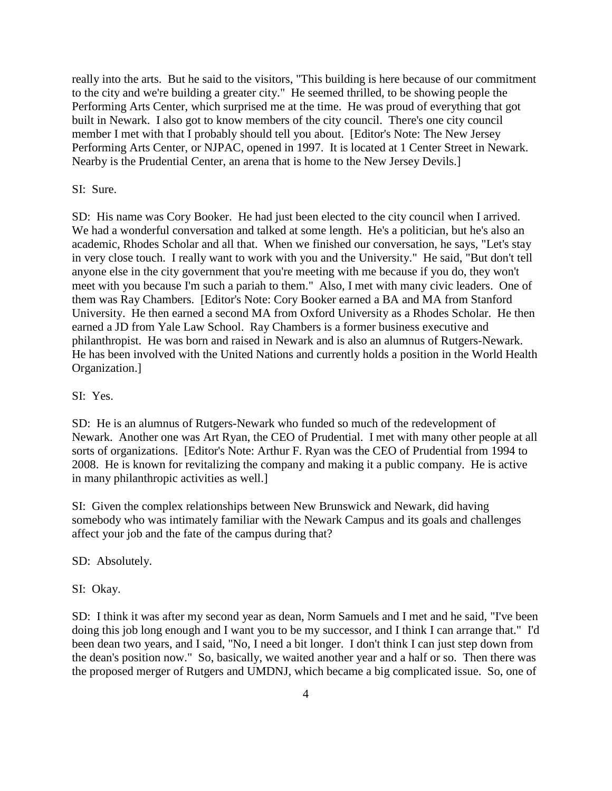really into the arts. But he said to the visitors, "This building is here because of our commitment to the city and we're building a greater city." He seemed thrilled, to be showing people the Performing Arts Center, which surprised me at the time. He was proud of everything that got built in Newark. I also got to know members of the city council. There's one city council member I met with that I probably should tell you about. [Editor's Note: The New Jersey Performing Arts Center, or NJPAC, opened in 1997. It is located at 1 Center Street in Newark. Nearby is the Prudential Center, an arena that is home to the New Jersey Devils.]

#### SI: Sure.

SD: His name was Cory Booker. He had just been elected to the city council when I arrived. We had a wonderful conversation and talked at some length. He's a politician, but he's also an academic, Rhodes Scholar and all that. When we finished our conversation, he says, "Let's stay in very close touch. I really want to work with you and the University." He said, "But don't tell anyone else in the city government that you're meeting with me because if you do, they won't meet with you because I'm such a pariah to them." Also, I met with many civic leaders. One of them was Ray Chambers. [Editor's Note: Cory Booker earned a BA and MA from Stanford University. He then earned a second MA from Oxford University as a Rhodes Scholar. He then earned a JD from Yale Law School. Ray Chambers is a former business executive and philanthropist. He was born and raised in Newark and is also an alumnus of Rutgers-Newark. He has been involved with the United Nations and currently holds a position in the World Health Organization.]

#### SI: Yes.

SD: He is an alumnus of Rutgers-Newark who funded so much of the redevelopment of Newark. Another one was Art Ryan, the CEO of Prudential. I met with many other people at all sorts of organizations. [Editor's Note: Arthur F. Ryan was the CEO of Prudential from 1994 to 2008. He is known for revitalizing the company and making it a public company. He is active in many philanthropic activities as well.]

SI: Given the complex relationships between New Brunswick and Newark, did having somebody who was intimately familiar with the Newark Campus and its goals and challenges affect your job and the fate of the campus during that?

SD: Absolutely.

SI: Okay.

SD: I think it was after my second year as dean, Norm Samuels and I met and he said, "I've been doing this job long enough and I want you to be my successor, and I think I can arrange that." I'd been dean two years, and I said, "No, I need a bit longer. I don't think I can just step down from the dean's position now." So, basically, we waited another year and a half or so. Then there was the proposed merger of Rutgers and UMDNJ, which became a big complicated issue. So, one of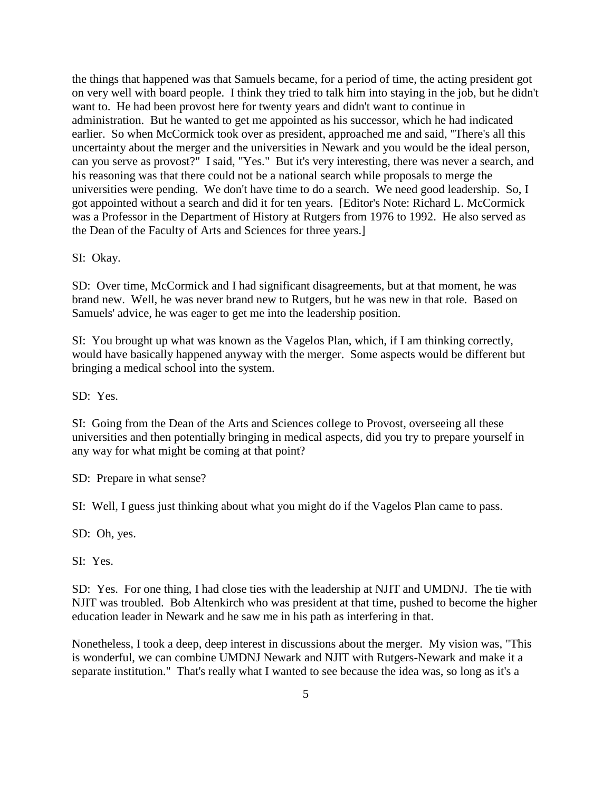the things that happened was that Samuels became, for a period of time, the acting president got on very well with board people. I think they tried to talk him into staying in the job, but he didn't want to. He had been provost here for twenty years and didn't want to continue in administration. But he wanted to get me appointed as his successor, which he had indicated earlier. So when McCormick took over as president, approached me and said, "There's all this uncertainty about the merger and the universities in Newark and you would be the ideal person, can you serve as provost?" I said, "Yes." But it's very interesting, there was never a search, and his reasoning was that there could not be a national search while proposals to merge the universities were pending. We don't have time to do a search. We need good leadership. So, I got appointed without a search and did it for ten years. [Editor's Note: Richard L. McCormick was a Professor in the Department of History at Rutgers from 1976 to 1992. He also served as the Dean of the Faculty of Arts and Sciences for three years.]

SI: Okay.

SD: Over time, McCormick and I had significant disagreements, but at that moment, he was brand new. Well, he was never brand new to Rutgers, but he was new in that role. Based on Samuels' advice, he was eager to get me into the leadership position.

SI: You brought up what was known as the Vagelos Plan, which, if I am thinking correctly, would have basically happened anyway with the merger. Some aspects would be different but bringing a medical school into the system.

SD: Yes.

SI: Going from the Dean of the Arts and Sciences college to Provost, overseeing all these universities and then potentially bringing in medical aspects, did you try to prepare yourself in any way for what might be coming at that point?

SD: Prepare in what sense?

SI: Well, I guess just thinking about what you might do if the Vagelos Plan came to pass.

SD: Oh, yes.

SI: Yes.

SD: Yes. For one thing, I had close ties with the leadership at NJIT and UMDNJ. The tie with NJIT was troubled. Bob Altenkirch who was president at that time, pushed to become the higher education leader in Newark and he saw me in his path as interfering in that.

Nonetheless, I took a deep, deep interest in discussions about the merger. My vision was, "This is wonderful, we can combine UMDNJ Newark and NJIT with Rutgers-Newark and make it a separate institution." That's really what I wanted to see because the idea was, so long as it's a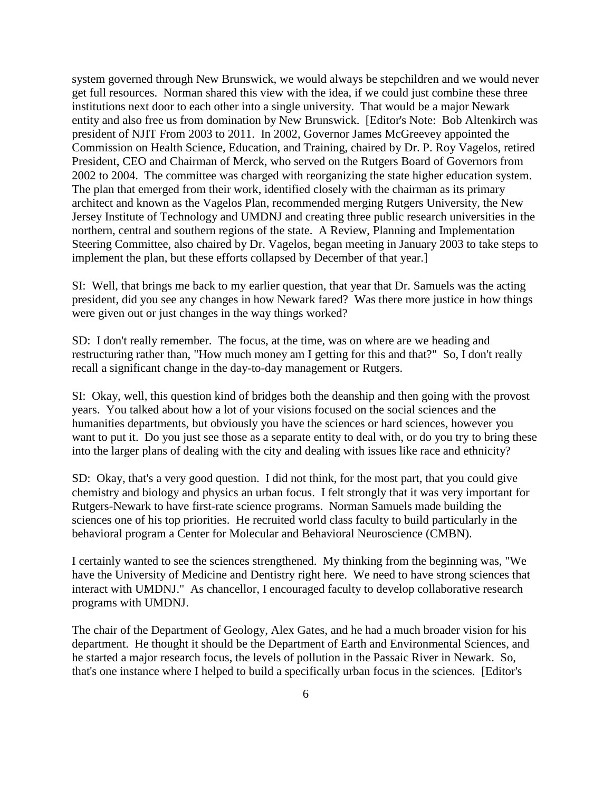system governed through New Brunswick, we would always be stepchildren and we would never get full resources. Norman shared this view with the idea, if we could just combine these three institutions next door to each other into a single university. That would be a major Newark entity and also free us from domination by New Brunswick. [Editor's Note: Bob Altenkirch was president of NJIT From 2003 to 2011. In 2002, Governor James McGreevey appointed the Commission on Health Science, Education, and Training, chaired by Dr. P. Roy Vagelos, retired President, CEO and Chairman of Merck, who served on the Rutgers Board of Governors from 2002 to 2004. The committee was charged with reorganizing the state higher education system. The plan that emerged from their work, identified closely with the chairman as its primary architect and known as the Vagelos Plan, recommended merging Rutgers University, the New Jersey Institute of Technology and UMDNJ and creating three public research universities in the northern, central and southern regions of the state. A Review, Planning and Implementation Steering Committee, also chaired by Dr. Vagelos, began meeting in January 2003 to take steps to implement the plan, but these efforts collapsed by December of that year.]

SI: Well, that brings me back to my earlier question, that year that Dr. Samuels was the acting president, did you see any changes in how Newark fared? Was there more justice in how things were given out or just changes in the way things worked?

SD: I don't really remember. The focus, at the time, was on where are we heading and restructuring rather than, "How much money am I getting for this and that?" So, I don't really recall a significant change in the day-to-day management or Rutgers.

SI: Okay, well, this question kind of bridges both the deanship and then going with the provost years. You talked about how a lot of your visions focused on the social sciences and the humanities departments, but obviously you have the sciences or hard sciences, however you want to put it. Do you just see those as a separate entity to deal with, or do you try to bring these into the larger plans of dealing with the city and dealing with issues like race and ethnicity?

SD: Okay, that's a very good question. I did not think, for the most part, that you could give chemistry and biology and physics an urban focus. I felt strongly that it was very important for Rutgers-Newark to have first-rate science programs. Norman Samuels made building the sciences one of his top priorities. He recruited world class faculty to build particularly in the behavioral program a Center for Molecular and Behavioral Neuroscience (CMBN).

I certainly wanted to see the sciences strengthened. My thinking from the beginning was, "We have the University of Medicine and Dentistry right here. We need to have strong sciences that interact with UMDNJ." As chancellor, I encouraged faculty to develop collaborative research programs with UMDNJ.

The chair of the Department of Geology, Alex Gates, and he had a much broader vision for his department. He thought it should be the Department of Earth and Environmental Sciences, and he started a major research focus, the levels of pollution in the Passaic River in Newark. So, that's one instance where I helped to build a specifically urban focus in the sciences. [Editor's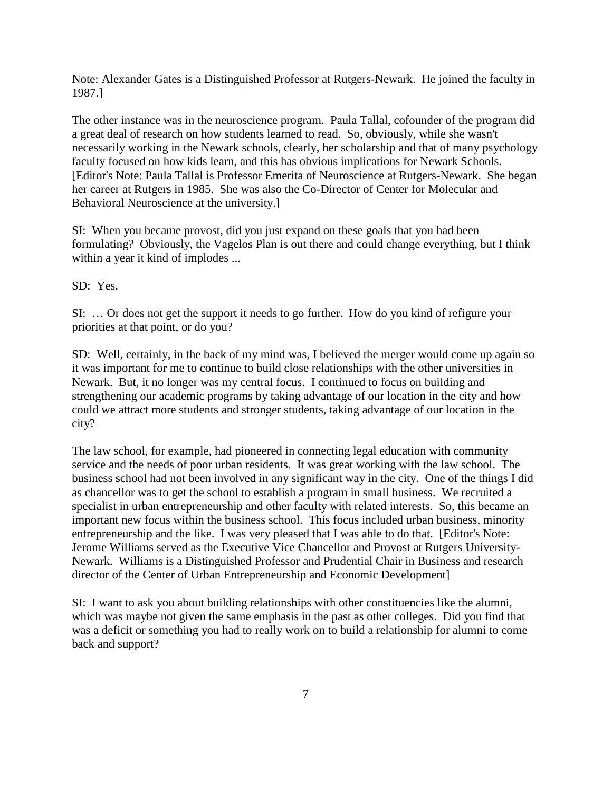Note: Alexander Gates is a Distinguished Professor at Rutgers-Newark. He joined the faculty in 1987.]

The other instance was in the neuroscience program. Paula Tallal, cofounder of the program did a great deal of research on how students learned to read. So, obviously, while she wasn't necessarily working in the Newark schools, clearly, her scholarship and that of many psychology faculty focused on how kids learn, and this has obvious implications for Newark Schools. [Editor's Note: Paula Tallal is Professor Emerita of Neuroscience at Rutgers-Newark. She began her career at Rutgers in 1985. She was also the Co-Director of Center for Molecular and Behavioral Neuroscience at the university.]

SI: When you became provost, did you just expand on these goals that you had been formulating? Obviously, the Vagelos Plan is out there and could change everything, but I think within a year it kind of implodes ...

SD: Yes.

SI: … Or does not get the support it needs to go further. How do you kind of refigure your priorities at that point, or do you?

SD: Well, certainly, in the back of my mind was, I believed the merger would come up again so it was important for me to continue to build close relationships with the other universities in Newark. But, it no longer was my central focus. I continued to focus on building and strengthening our academic programs by taking advantage of our location in the city and how could we attract more students and stronger students, taking advantage of our location in the city?

The law school, for example, had pioneered in connecting legal education with community service and the needs of poor urban residents. It was great working with the law school. The business school had not been involved in any significant way in the city. One of the things I did as chancellor was to get the school to establish a program in small business. We recruited a specialist in urban entrepreneurship and other faculty with related interests. So, this became an important new focus within the business school. This focus included urban business, minority entrepreneurship and the like. I was very pleased that I was able to do that. [Editor's Note: Jerome Williams served as the Executive Vice Chancellor and Provost at Rutgers University-Newark. Williams is a Distinguished Professor and Prudential Chair in Business and research director of the Center of Urban Entrepreneurship and Economic Development]

SI: I want to ask you about building relationships with other constituencies like the alumni, which was maybe not given the same emphasis in the past as other colleges. Did you find that was a deficit or something you had to really work on to build a relationship for alumni to come back and support?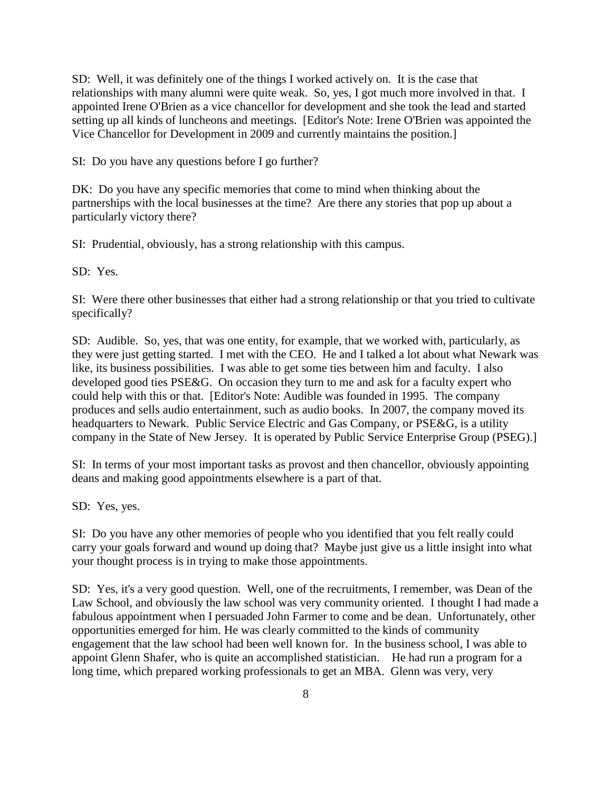SD: Well, it was definitely one of the things I worked actively on. It is the case that relationships with many alumni were quite weak. So, yes, I got much more involved in that. I appointed Irene O'Brien as a vice chancellor for development and she took the lead and started setting up all kinds of luncheons and meetings. [Editor's Note: Irene O'Brien was appointed the Vice Chancellor for Development in 2009 and currently maintains the position.]

SI: Do you have any questions before I go further?

DK: Do you have any specific memories that come to mind when thinking about the partnerships with the local businesses at the time? Are there any stories that pop up about a particularly victory there?

SI: Prudential, obviously, has a strong relationship with this campus.

SD: Yes.

SI: Were there other businesses that either had a strong relationship or that you tried to cultivate specifically?

SD: Audible. So, yes, that was one entity, for example, that we worked with, particularly, as they were just getting started. I met with the CEO. He and I talked a lot about what Newark was like, its business possibilities. I was able to get some ties between him and faculty. I also developed good ties PSE&G. On occasion they turn to me and ask for a faculty expert who could help with this or that. [Editor's Note: Audible was founded in 1995. The company produces and sells audio entertainment, such as audio books. In 2007, the company moved its headquarters to Newark. Public Service Electric and Gas Company, or PSE&G, is a utility company in the State of New Jersey. It is operated by Public Service Enterprise Group (PSEG).]

SI: In terms of your most important tasks as provost and then chancellor, obviously appointing deans and making good appointments elsewhere is a part of that.

SD: Yes, yes.

SI: Do you have any other memories of people who you identified that you felt really could carry your goals forward and wound up doing that? Maybe just give us a little insight into what your thought process is in trying to make those appointments.

SD: Yes, it's a very good question. Well, one of the recruitments, I remember, was Dean of the Law School, and obviously the law school was very community oriented. I thought I had made a fabulous appointment when I persuaded John Farmer to come and be dean. Unfortunately, other opportunities emerged for him. He was clearly committed to the kinds of community engagement that the law school had been well known for. In the business school, I was able to appoint Glenn Shafer, who is quite an accomplished statistician. He had run a program for a long time, which prepared working professionals to get an MBA. Glenn was very, very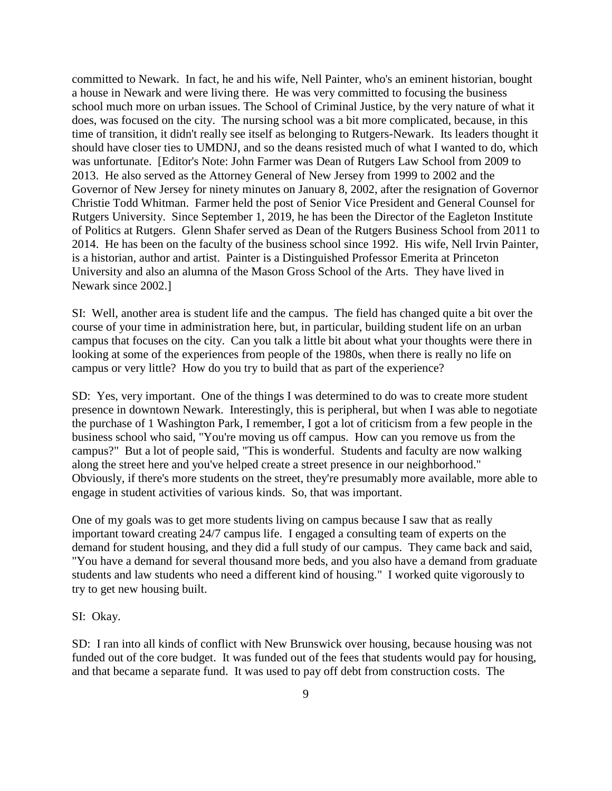committed to Newark. In fact, he and his wife, Nell Painter, who's an eminent historian, bought a house in Newark and were living there. He was very committed to focusing the business school much more on urban issues. The School of Criminal Justice, by the very nature of what it does, was focused on the city. The nursing school was a bit more complicated, because, in this time of transition, it didn't really see itself as belonging to Rutgers-Newark. Its leaders thought it should have closer ties to UMDNJ, and so the deans resisted much of what I wanted to do, which was unfortunate. [Editor's Note: John Farmer was Dean of Rutgers Law School from 2009 to 2013. He also served as the Attorney General of New Jersey from 1999 to 2002 and the Governor of New Jersey for ninety minutes on January 8, 2002, after the resignation of Governor Christie Todd Whitman. Farmer held the post of Senior Vice President and General Counsel for Rutgers University. Since September 1, 2019, he has been the Director of the Eagleton Institute of Politics at Rutgers. Glenn Shafer served as Dean of the Rutgers Business School from 2011 to 2014. He has been on the faculty of the business school since 1992. His wife, Nell Irvin Painter, is a historian, author and artist. Painter is a Distinguished Professor Emerita at Princeton University and also an alumna of the Mason Gross School of the Arts. They have lived in Newark since 2002.]

SI: Well, another area is student life and the campus. The field has changed quite a bit over the course of your time in administration here, but, in particular, building student life on an urban campus that focuses on the city. Can you talk a little bit about what your thoughts were there in looking at some of the experiences from people of the 1980s, when there is really no life on campus or very little? How do you try to build that as part of the experience?

SD: Yes, very important. One of the things I was determined to do was to create more student presence in downtown Newark. Interestingly, this is peripheral, but when I was able to negotiate the purchase of 1 Washington Park, I remember, I got a lot of criticism from a few people in the business school who said, "You're moving us off campus. How can you remove us from the campus?" But a lot of people said, "This is wonderful. Students and faculty are now walking along the street here and you've helped create a street presence in our neighborhood." Obviously, if there's more students on the street, they're presumably more available, more able to engage in student activities of various kinds. So, that was important.

One of my goals was to get more students living on campus because I saw that as really important toward creating 24/7 campus life. I engaged a consulting team of experts on the demand for student housing, and they did a full study of our campus. They came back and said, "You have a demand for several thousand more beds, and you also have a demand from graduate students and law students who need a different kind of housing." I worked quite vigorously to try to get new housing built.

### SI: Okay.

SD: I ran into all kinds of conflict with New Brunswick over housing, because housing was not funded out of the core budget. It was funded out of the fees that students would pay for housing, and that became a separate fund. It was used to pay off debt from construction costs. The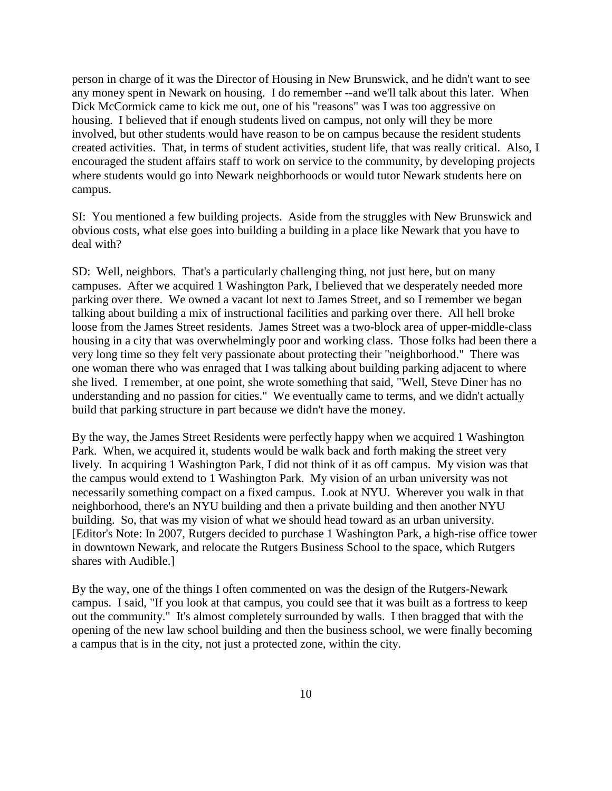person in charge of it was the Director of Housing in New Brunswick, and he didn't want to see any money spent in Newark on housing. I do remember --and we'll talk about this later. When Dick McCormick came to kick me out, one of his "reasons" was I was too aggressive on housing. I believed that if enough students lived on campus, not only will they be more involved, but other students would have reason to be on campus because the resident students created activities. That, in terms of student activities, student life, that was really critical. Also, I encouraged the student affairs staff to work on service to the community, by developing projects where students would go into Newark neighborhoods or would tutor Newark students here on campus.

SI: You mentioned a few building projects. Aside from the struggles with New Brunswick and obvious costs, what else goes into building a building in a place like Newark that you have to deal with?

SD: Well, neighbors. That's a particularly challenging thing, not just here, but on many campuses. After we acquired 1 Washington Park, I believed that we desperately needed more parking over there. We owned a vacant lot next to James Street, and so I remember we began talking about building a mix of instructional facilities and parking over there. All hell broke loose from the James Street residents. James Street was a two-block area of upper-middle-class housing in a city that was overwhelmingly poor and working class. Those folks had been there a very long time so they felt very passionate about protecting their "neighborhood." There was one woman there who was enraged that I was talking about building parking adjacent to where she lived. I remember, at one point, she wrote something that said, "Well, Steve Diner has no understanding and no passion for cities." We eventually came to terms, and we didn't actually build that parking structure in part because we didn't have the money.

By the way, the James Street Residents were perfectly happy when we acquired 1 Washington Park. When, we acquired it, students would be walk back and forth making the street very lively. In acquiring 1 Washington Park, I did not think of it as off campus. My vision was that the campus would extend to 1 Washington Park. My vision of an urban university was not necessarily something compact on a fixed campus. Look at NYU. Wherever you walk in that neighborhood, there's an NYU building and then a private building and then another NYU building. So, that was my vision of what we should head toward as an urban university. [Editor's Note: In 2007, Rutgers decided to purchase 1 Washington Park, a high-rise office tower in downtown Newark, and relocate the Rutgers Business School to the space, which Rutgers shares with Audible.]

By the way, one of the things I often commented on was the design of the Rutgers-Newark campus. I said, "If you look at that campus, you could see that it was built as a fortress to keep out the community." It's almost completely surrounded by walls. I then bragged that with the opening of the new law school building and then the business school, we were finally becoming a campus that is in the city, not just a protected zone, within the city.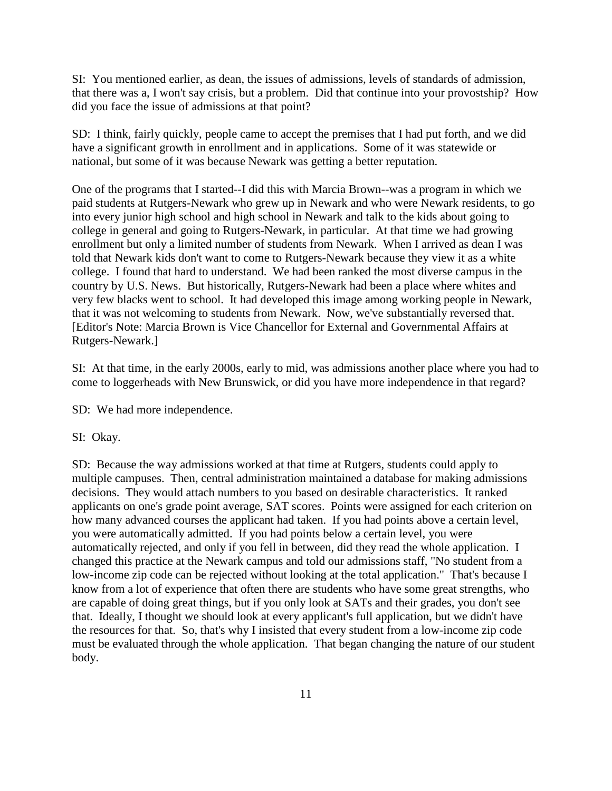SI: You mentioned earlier, as dean, the issues of admissions, levels of standards of admission, that there was a, I won't say crisis, but a problem. Did that continue into your provostship? How did you face the issue of admissions at that point?

SD: I think, fairly quickly, people came to accept the premises that I had put forth, and we did have a significant growth in enrollment and in applications. Some of it was statewide or national, but some of it was because Newark was getting a better reputation.

One of the programs that I started--I did this with Marcia Brown--was a program in which we paid students at Rutgers-Newark who grew up in Newark and who were Newark residents, to go into every junior high school and high school in Newark and talk to the kids about going to college in general and going to Rutgers-Newark, in particular. At that time we had growing enrollment but only a limited number of students from Newark. When I arrived as dean I was told that Newark kids don't want to come to Rutgers-Newark because they view it as a white college. I found that hard to understand. We had been ranked the most diverse campus in the country by U.S. News. But historically, Rutgers-Newark had been a place where whites and very few blacks went to school. It had developed this image among working people in Newark, that it was not welcoming to students from Newark. Now, we've substantially reversed that. [Editor's Note: Marcia Brown is Vice Chancellor for External and Governmental Affairs at Rutgers-Newark.]

SI: At that time, in the early 2000s, early to mid, was admissions another place where you had to come to loggerheads with New Brunswick, or did you have more independence in that regard?

SD: We had more independence.

SI: Okay.

SD: Because the way admissions worked at that time at Rutgers, students could apply to multiple campuses. Then, central administration maintained a database for making admissions decisions. They would attach numbers to you based on desirable characteristics. It ranked applicants on one's grade point average, SAT scores. Points were assigned for each criterion on how many advanced courses the applicant had taken. If you had points above a certain level, you were automatically admitted. If you had points below a certain level, you were automatically rejected, and only if you fell in between, did they read the whole application. I changed this practice at the Newark campus and told our admissions staff, "No student from a low-income zip code can be rejected without looking at the total application." That's because I know from a lot of experience that often there are students who have some great strengths, who are capable of doing great things, but if you only look at SATs and their grades, you don't see that. Ideally, I thought we should look at every applicant's full application, but we didn't have the resources for that. So, that's why I insisted that every student from a low-income zip code must be evaluated through the whole application. That began changing the nature of our student body.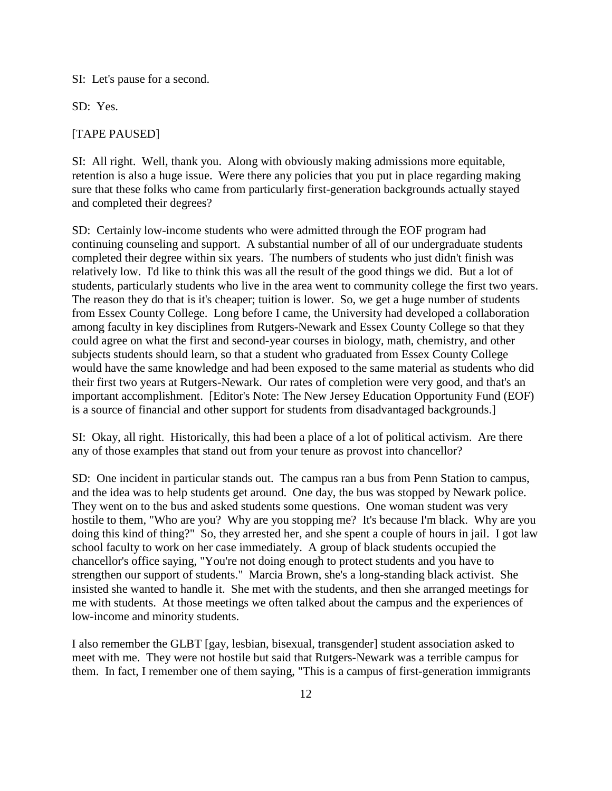SI: Let's pause for a second.

SD: Yes.

#### [TAPE PAUSED]

SI: All right. Well, thank you. Along with obviously making admissions more equitable, retention is also a huge issue. Were there any policies that you put in place regarding making sure that these folks who came from particularly first-generation backgrounds actually stayed and completed their degrees?

SD: Certainly low-income students who were admitted through the EOF program had continuing counseling and support. A substantial number of all of our undergraduate students completed their degree within six years. The numbers of students who just didn't finish was relatively low. I'd like to think this was all the result of the good things we did. But a lot of students, particularly students who live in the area went to community college the first two years. The reason they do that is it's cheaper; tuition is lower. So, we get a huge number of students from Essex County College. Long before I came, the University had developed a collaboration among faculty in key disciplines from Rutgers-Newark and Essex County College so that they could agree on what the first and second-year courses in biology, math, chemistry, and other subjects students should learn, so that a student who graduated from Essex County College would have the same knowledge and had been exposed to the same material as students who did their first two years at Rutgers-Newark. Our rates of completion were very good, and that's an important accomplishment. [Editor's Note: The New Jersey Education Opportunity Fund (EOF) is a source of financial and other support for students from disadvantaged backgrounds.]

SI: Okay, all right. Historically, this had been a place of a lot of political activism. Are there any of those examples that stand out from your tenure as provost into chancellor?

SD: One incident in particular stands out. The campus ran a bus from Penn Station to campus, and the idea was to help students get around. One day, the bus was stopped by Newark police. They went on to the bus and asked students some questions. One woman student was very hostile to them, "Who are you? Why are you stopping me? It's because I'm black. Why are you doing this kind of thing?" So, they arrested her, and she spent a couple of hours in jail. I got law school faculty to work on her case immediately. A group of black students occupied the chancellor's office saying, "You're not doing enough to protect students and you have to strengthen our support of students." Marcia Brown, she's a long-standing black activist. She insisted she wanted to handle it. She met with the students, and then she arranged meetings for me with students. At those meetings we often talked about the campus and the experiences of low-income and minority students.

I also remember the GLBT [gay, lesbian, bisexual, transgender] student association asked to meet with me. They were not hostile but said that Rutgers-Newark was a terrible campus for them. In fact, I remember one of them saying, "This is a campus of first-generation immigrants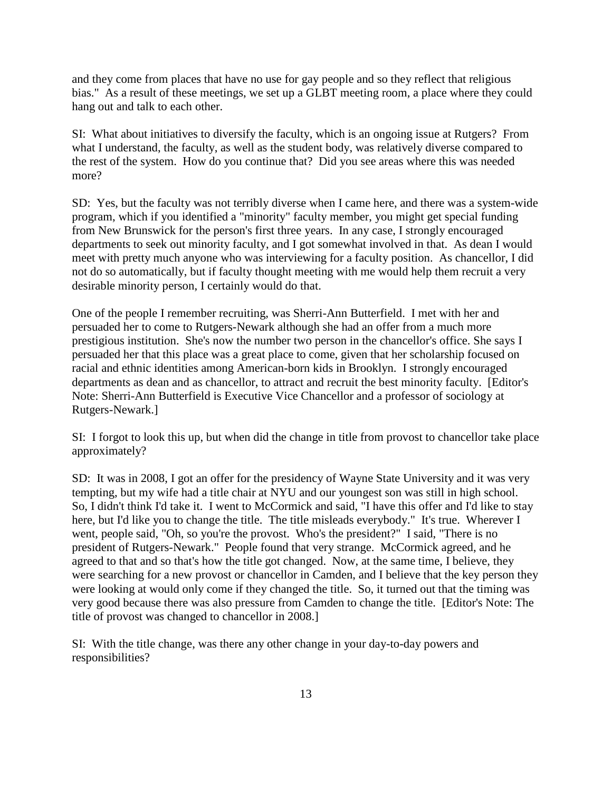and they come from places that have no use for gay people and so they reflect that religious bias." As a result of these meetings, we set up a GLBT meeting room, a place where they could hang out and talk to each other.

SI: What about initiatives to diversify the faculty, which is an ongoing issue at Rutgers? From what I understand, the faculty, as well as the student body, was relatively diverse compared to the rest of the system. How do you continue that? Did you see areas where this was needed more?

SD: Yes, but the faculty was not terribly diverse when I came here, and there was a system-wide program, which if you identified a "minority" faculty member, you might get special funding from New Brunswick for the person's first three years. In any case, I strongly encouraged departments to seek out minority faculty, and I got somewhat involved in that. As dean I would meet with pretty much anyone who was interviewing for a faculty position. As chancellor, I did not do so automatically, but if faculty thought meeting with me would help them recruit a very desirable minority person, I certainly would do that.

One of the people I remember recruiting, was Sherri-Ann Butterfield. I met with her and persuaded her to come to Rutgers-Newark although she had an offer from a much more prestigious institution. She's now the number two person in the chancellor's office. She says I persuaded her that this place was a great place to come, given that her scholarship focused on racial and ethnic identities among American-born kids in Brooklyn. I strongly encouraged departments as dean and as chancellor, to attract and recruit the best minority faculty. [Editor's Note: Sherri-Ann Butterfield is Executive Vice Chancellor and a professor of sociology at Rutgers-Newark.]

SI: I forgot to look this up, but when did the change in title from provost to chancellor take place approximately?

SD: It was in 2008, I got an offer for the presidency of Wayne State University and it was very tempting, but my wife had a title chair at NYU and our youngest son was still in high school. So, I didn't think I'd take it. I went to McCormick and said, "I have this offer and I'd like to stay here, but I'd like you to change the title. The title misleads everybody." It's true. Wherever I went, people said, "Oh, so you're the provost. Who's the president?" I said, "There is no president of Rutgers-Newark." People found that very strange. McCormick agreed, and he agreed to that and so that's how the title got changed. Now, at the same time, I believe, they were searching for a new provost or chancellor in Camden, and I believe that the key person they were looking at would only come if they changed the title. So, it turned out that the timing was very good because there was also pressure from Camden to change the title. [Editor's Note: The title of provost was changed to chancellor in 2008.]

SI: With the title change, was there any other change in your day-to-day powers and responsibilities?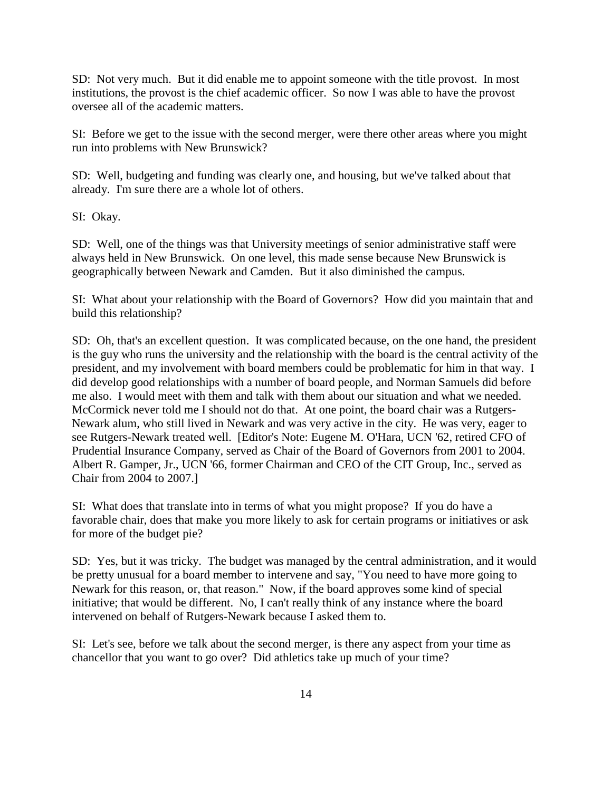SD: Not very much. But it did enable me to appoint someone with the title provost. In most institutions, the provost is the chief academic officer. So now I was able to have the provost oversee all of the academic matters.

SI: Before we get to the issue with the second merger, were there other areas where you might run into problems with New Brunswick?

SD: Well, budgeting and funding was clearly one, and housing, but we've talked about that already. I'm sure there are a whole lot of others.

SI: Okay.

SD: Well, one of the things was that University meetings of senior administrative staff were always held in New Brunswick. On one level, this made sense because New Brunswick is geographically between Newark and Camden. But it also diminished the campus.

SI: What about your relationship with the Board of Governors? How did you maintain that and build this relationship?

SD: Oh, that's an excellent question. It was complicated because, on the one hand, the president is the guy who runs the university and the relationship with the board is the central activity of the president, and my involvement with board members could be problematic for him in that way. I did develop good relationships with a number of board people, and Norman Samuels did before me also. I would meet with them and talk with them about our situation and what we needed. McCormick never told me I should not do that. At one point, the board chair was a Rutgers-Newark alum, who still lived in Newark and was very active in the city. He was very, eager to see Rutgers-Newark treated well. [Editor's Note: Eugene M. O'Hara, UCN '62, retired CFO of Prudential Insurance Company, served as Chair of the Board of Governors from 2001 to 2004. Albert R. Gamper, Jr., UCN '66, former Chairman and CEO of the CIT Group, Inc., served as Chair from 2004 to 2007.]

SI: What does that translate into in terms of what you might propose? If you do have a favorable chair, does that make you more likely to ask for certain programs or initiatives or ask for more of the budget pie?

SD: Yes, but it was tricky. The budget was managed by the central administration, and it would be pretty unusual for a board member to intervene and say, "You need to have more going to Newark for this reason, or, that reason." Now, if the board approves some kind of special initiative; that would be different. No, I can't really think of any instance where the board intervened on behalf of Rutgers-Newark because I asked them to.

SI: Let's see, before we talk about the second merger, is there any aspect from your time as chancellor that you want to go over? Did athletics take up much of your time?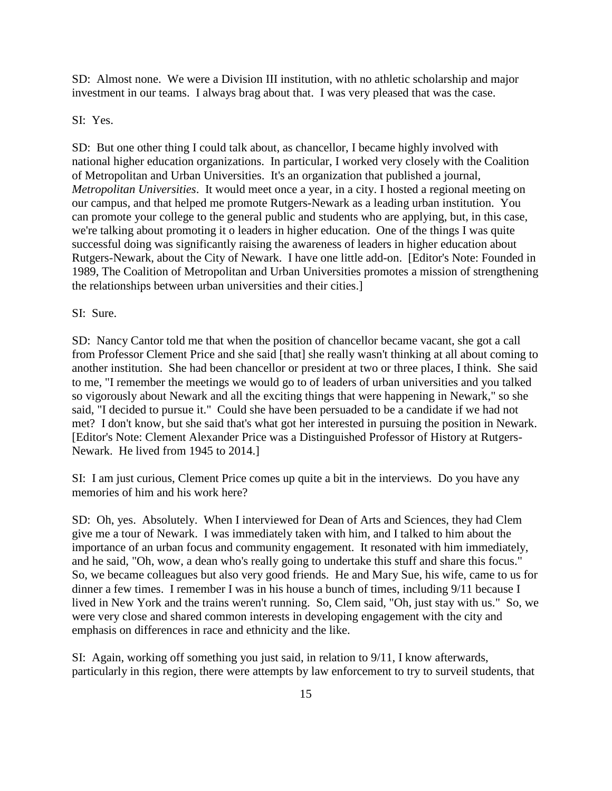SD: Almost none. We were a Division III institution, with no athletic scholarship and major investment in our teams. I always brag about that. I was very pleased that was the case.

#### SI: Yes.

SD: But one other thing I could talk about, as chancellor, I became highly involved with national higher education organizations. In particular, I worked very closely with the Coalition of Metropolitan and Urban Universities. It's an organization that published a journal, *Metropolitan Universities*. It would meet once a year, in a city. I hosted a regional meeting on our campus, and that helped me promote Rutgers-Newark as a leading urban institution. You can promote your college to the general public and students who are applying, but, in this case, we're talking about promoting it o leaders in higher education. One of the things I was quite successful doing was significantly raising the awareness of leaders in higher education about Rutgers-Newark, about the City of Newark. I have one little add-on. [Editor's Note: Founded in 1989, The Coalition of Metropolitan and Urban Universities promotes a mission of strengthening the relationships between urban universities and their cities.]

## SI: Sure.

SD: Nancy Cantor told me that when the position of chancellor became vacant, she got a call from Professor Clement Price and she said [that] she really wasn't thinking at all about coming to another institution. She had been chancellor or president at two or three places, I think. She said to me, "I remember the meetings we would go to of leaders of urban universities and you talked so vigorously about Newark and all the exciting things that were happening in Newark," so she said, "I decided to pursue it." Could she have been persuaded to be a candidate if we had not met? I don't know, but she said that's what got her interested in pursuing the position in Newark. [Editor's Note: Clement Alexander Price was a Distinguished Professor of History at Rutgers-Newark. He lived from 1945 to 2014.]

SI: I am just curious, Clement Price comes up quite a bit in the interviews. Do you have any memories of him and his work here?

SD: Oh, yes. Absolutely. When I interviewed for Dean of Arts and Sciences, they had Clem give me a tour of Newark. I was immediately taken with him, and I talked to him about the importance of an urban focus and community engagement. It resonated with him immediately, and he said, "Oh, wow, a dean who's really going to undertake this stuff and share this focus." So, we became colleagues but also very good friends. He and Mary Sue, his wife, came to us for dinner a few times. I remember I was in his house a bunch of times, including 9/11 because I lived in New York and the trains weren't running. So, Clem said, "Oh, just stay with us." So, we were very close and shared common interests in developing engagement with the city and emphasis on differences in race and ethnicity and the like.

SI: Again, working off something you just said, in relation to 9/11, I know afterwards, particularly in this region, there were attempts by law enforcement to try to surveil students, that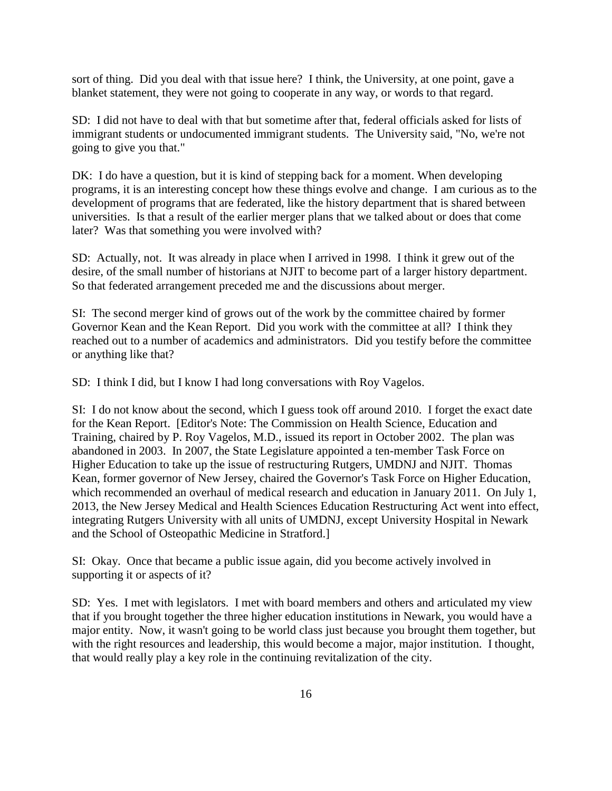sort of thing. Did you deal with that issue here? I think, the University, at one point, gave a blanket statement, they were not going to cooperate in any way, or words to that regard.

SD: I did not have to deal with that but sometime after that, federal officials asked for lists of immigrant students or undocumented immigrant students. The University said, "No, we're not going to give you that."

DK: I do have a question, but it is kind of stepping back for a moment. When developing programs, it is an interesting concept how these things evolve and change. I am curious as to the development of programs that are federated, like the history department that is shared between universities. Is that a result of the earlier merger plans that we talked about or does that come later? Was that something you were involved with?

SD: Actually, not. It was already in place when I arrived in 1998. I think it grew out of the desire, of the small number of historians at NJIT to become part of a larger history department. So that federated arrangement preceded me and the discussions about merger.

SI: The second merger kind of grows out of the work by the committee chaired by former Governor Kean and the Kean Report. Did you work with the committee at all? I think they reached out to a number of academics and administrators. Did you testify before the committee or anything like that?

SD: I think I did, but I know I had long conversations with Roy Vagelos.

SI: I do not know about the second, which I guess took off around 2010. I forget the exact date for the Kean Report. [Editor's Note: The Commission on Health Science, Education and Training, chaired by P. Roy Vagelos, M.D., issued its report in October 2002. The plan was abandoned in 2003. In 2007, the State Legislature appointed a ten-member Task Force on Higher Education to take up the issue of restructuring Rutgers, UMDNJ and NJIT. Thomas Kean, former governor of New Jersey, chaired the Governor's Task Force on Higher Education, which recommended an overhaul of medical research and education in January 2011. On July 1, 2013, the New Jersey Medical and Health Sciences Education Restructuring Act went into effect, integrating Rutgers University with all units of UMDNJ, except University Hospital in Newark and the School of Osteopathic Medicine in Stratford.]

SI: Okay. Once that became a public issue again, did you become actively involved in supporting it or aspects of it?

SD: Yes. I met with legislators. I met with board members and others and articulated my view that if you brought together the three higher education institutions in Newark, you would have a major entity. Now, it wasn't going to be world class just because you brought them together, but with the right resources and leadership, this would become a major, major institution. I thought, that would really play a key role in the continuing revitalization of the city.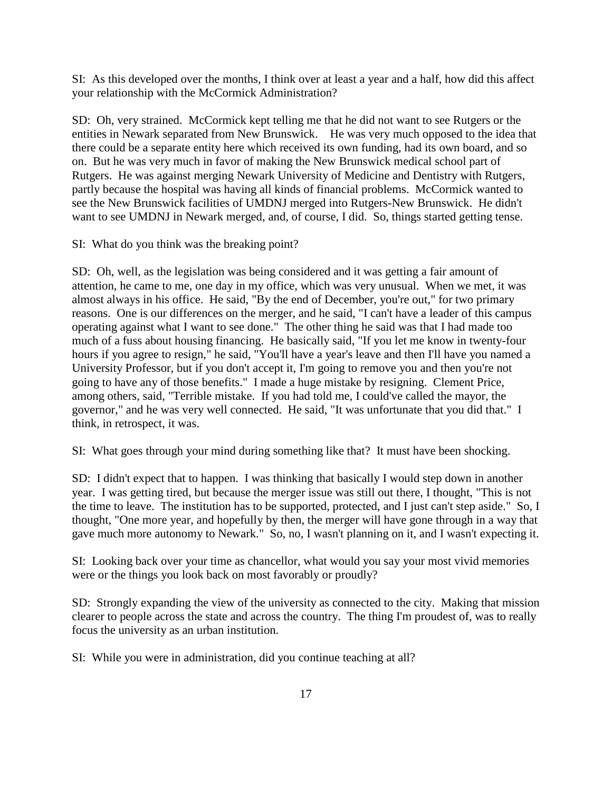SI: As this developed over the months, I think over at least a year and a half, how did this affect your relationship with the McCormick Administration?

SD: Oh, very strained. McCormick kept telling me that he did not want to see Rutgers or the entities in Newark separated from New Brunswick. He was very much opposed to the idea that there could be a separate entity here which received its own funding, had its own board, and so on. But he was very much in favor of making the New Brunswick medical school part of Rutgers. He was against merging Newark University of Medicine and Dentistry with Rutgers, partly because the hospital was having all kinds of financial problems. McCormick wanted to see the New Brunswick facilities of UMDNJ merged into Rutgers-New Brunswick. He didn't want to see UMDNJ in Newark merged, and, of course, I did. So, things started getting tense.

SI: What do you think was the breaking point?

SD: Oh, well, as the legislation was being considered and it was getting a fair amount of attention, he came to me, one day in my office, which was very unusual. When we met, it was almost always in his office. He said, "By the end of December, you're out," for two primary reasons. One is our differences on the merger, and he said, "I can't have a leader of this campus operating against what I want to see done." The other thing he said was that I had made too much of a fuss about housing financing. He basically said, "If you let me know in twenty-four hours if you agree to resign," he said, "You'll have a year's leave and then I'll have you named a University Professor, but if you don't accept it, I'm going to remove you and then you're not going to have any of those benefits." I made a huge mistake by resigning. Clement Price, among others, said, "Terrible mistake. If you had told me, I could've called the mayor, the governor," and he was very well connected. He said, "It was unfortunate that you did that." I think, in retrospect, it was.

SI: What goes through your mind during something like that? It must have been shocking.

SD: I didn't expect that to happen. I was thinking that basically I would step down in another year. I was getting tired, but because the merger issue was still out there, I thought, "This is not the time to leave. The institution has to be supported, protected, and I just can't step aside." So, I thought, "One more year, and hopefully by then, the merger will have gone through in a way that gave much more autonomy to Newark." So, no, I wasn't planning on it, and I wasn't expecting it.

SI: Looking back over your time as chancellor, what would you say your most vivid memories were or the things you look back on most favorably or proudly?

SD: Strongly expanding the view of the university as connected to the city. Making that mission clearer to people across the state and across the country. The thing I'm proudest of, was to really focus the university as an urban institution.

SI: While you were in administration, did you continue teaching at all?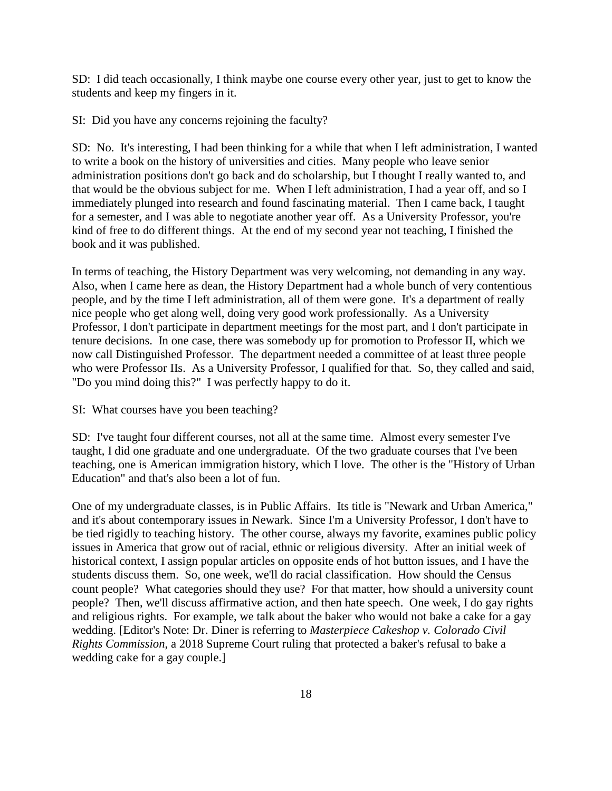SD: I did teach occasionally, I think maybe one course every other year, just to get to know the students and keep my fingers in it.

SI: Did you have any concerns rejoining the faculty?

SD: No. It's interesting, I had been thinking for a while that when I left administration, I wanted to write a book on the history of universities and cities. Many people who leave senior administration positions don't go back and do scholarship, but I thought I really wanted to, and that would be the obvious subject for me. When I left administration, I had a year off, and so I immediately plunged into research and found fascinating material. Then I came back, I taught for a semester, and I was able to negotiate another year off. As a University Professor, you're kind of free to do different things. At the end of my second year not teaching, I finished the book and it was published.

In terms of teaching, the History Department was very welcoming, not demanding in any way. Also, when I came here as dean, the History Department had a whole bunch of very contentious people, and by the time I left administration, all of them were gone. It's a department of really nice people who get along well, doing very good work professionally. As a University Professor, I don't participate in department meetings for the most part, and I don't participate in tenure decisions. In one case, there was somebody up for promotion to Professor II, which we now call Distinguished Professor. The department needed a committee of at least three people who were Professor IIs. As a University Professor, I qualified for that. So, they called and said, "Do you mind doing this?" I was perfectly happy to do it.

SI: What courses have you been teaching?

SD: I've taught four different courses, not all at the same time. Almost every semester I've taught, I did one graduate and one undergraduate. Of the two graduate courses that I've been teaching, one is American immigration history, which I love. The other is the "History of Urban Education" and that's also been a lot of fun.

One of my undergraduate classes, is in Public Affairs. Its title is "Newark and Urban America," and it's about contemporary issues in Newark. Since I'm a University Professor, I don't have to be tied rigidly to teaching history. The other course, always my favorite, examines public policy issues in America that grow out of racial, ethnic or religious diversity. After an initial week of historical context, I assign popular articles on opposite ends of hot button issues, and I have the students discuss them. So, one week, we'll do racial classification. How should the Census count people? What categories should they use? For that matter, how should a university count people? Then, we'll discuss affirmative action, and then hate speech. One week, I do gay rights and religious rights. For example, we talk about the baker who would not bake a cake for a gay wedding. [Editor's Note: Dr. Diner is referring to *Masterpiece Cakeshop v. Colorado Civil Rights Commission*, a 2018 Supreme Court ruling that protected a baker's refusal to bake a wedding cake for a gay couple.]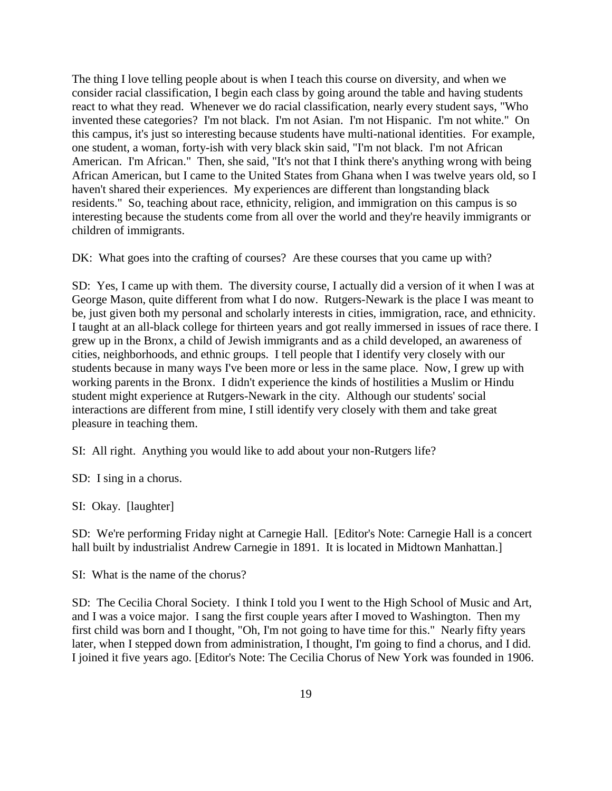The thing I love telling people about is when I teach this course on diversity, and when we consider racial classification, I begin each class by going around the table and having students react to what they read. Whenever we do racial classification, nearly every student says, "Who invented these categories? I'm not black. I'm not Asian. I'm not Hispanic. I'm not white." On this campus, it's just so interesting because students have multi-national identities. For example, one student, a woman, forty-ish with very black skin said, "I'm not black. I'm not African American. I'm African." Then, she said, "It's not that I think there's anything wrong with being African American, but I came to the United States from Ghana when I was twelve years old, so I haven't shared their experiences. My experiences are different than longstanding black residents." So, teaching about race, ethnicity, religion, and immigration on this campus is so interesting because the students come from all over the world and they're heavily immigrants or children of immigrants.

DK: What goes into the crafting of courses? Are these courses that you came up with?

SD: Yes, I came up with them. The diversity course, I actually did a version of it when I was at George Mason, quite different from what I do now. Rutgers-Newark is the place I was meant to be, just given both my personal and scholarly interests in cities, immigration, race, and ethnicity. I taught at an all-black college for thirteen years and got really immersed in issues of race there. I grew up in the Bronx, a child of Jewish immigrants and as a child developed, an awareness of cities, neighborhoods, and ethnic groups. I tell people that I identify very closely with our students because in many ways I've been more or less in the same place. Now, I grew up with working parents in the Bronx. I didn't experience the kinds of hostilities a Muslim or Hindu student might experience at Rutgers-Newark in the city. Although our students' social interactions are different from mine, I still identify very closely with them and take great pleasure in teaching them.

SI: All right. Anything you would like to add about your non-Rutgers life?

SD: I sing in a chorus.

SI: Okay. [laughter]

SD: We're performing Friday night at Carnegie Hall. [Editor's Note: Carnegie Hall is a concert hall built by industrialist Andrew Carnegie in 1891. It is located in Midtown Manhattan.]

SI: What is the name of the chorus?

SD: The Cecilia Choral Society. I think I told you I went to the High School of Music and Art, and I was a voice major. I sang the first couple years after I moved to Washington. Then my first child was born and I thought, "Oh, I'm not going to have time for this." Nearly fifty years later, when I stepped down from administration, I thought, I'm going to find a chorus, and I did. I joined it five years ago. [Editor's Note: The Cecilia Chorus of New York was founded in 1906.